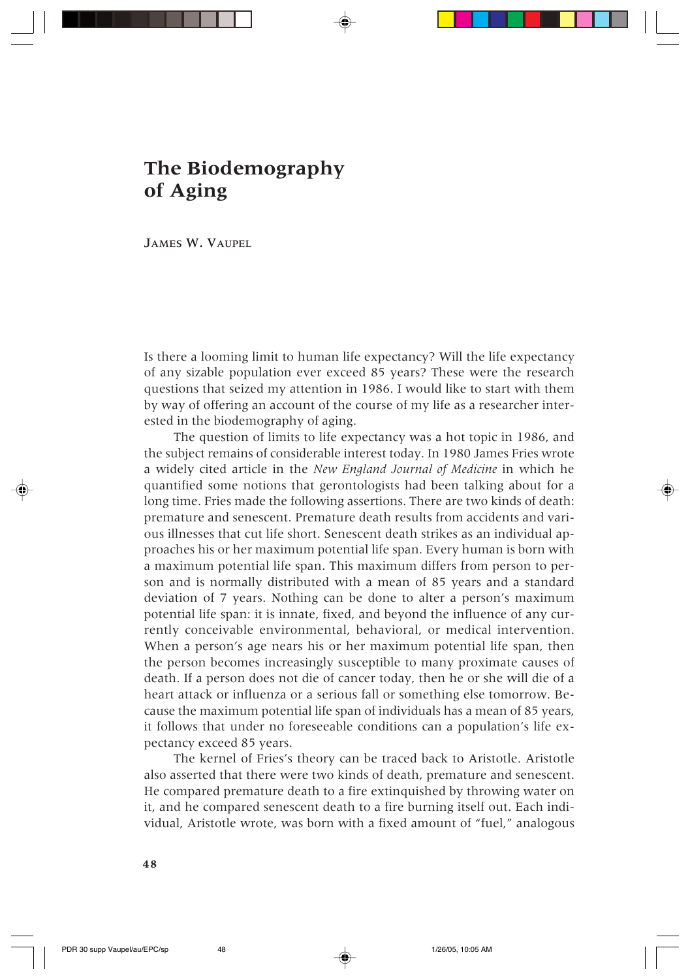# **The Biodemography of Aging**

JAMES W. VAUPEL

Is there a looming limit to human life expectancy? Will the life expectancy of any sizable population ever exceed 85 years? These were the research questions that seized my attention in 1986. I would like to start with them by way of offering an account of the course of my life as a researcher interested in the biodemography of aging.

The question of limits to life expectancy was a hot topic in 1986, and the subject remains of considerable interest today. In 1980 James Fries wrote a widely cited article in the *New England Journal of Medicine* in which he quantified some notions that gerontologists had been talking about for a long time. Fries made the following assertions. There are two kinds of death: premature and senescent. Premature death results from accidents and various illnesses that cut life short. Senescent death strikes as an individual approaches his or her maximum potential life span. Every human is born with a maximum potential life span. This maximum differs from person to person and is normally distributed with a mean of 85 years and a standard deviation of 7 years. Nothing can be done to alter a person's maximum potential life span: it is innate, fixed, and beyond the influence of any currently conceivable environmental, behavioral, or medical intervention. When a person's age nears his or her maximum potential life span, then the person becomes increasingly susceptible to many proximate causes of death. If a person does not die of cancer today, then he or she will die of a heart attack or influenza or a serious fall or something else tomorrow. Because the maximum potential life span of individuals has a mean of 85 years, it follows that under no foreseeable conditions can a population's life expectancy exceed 85 years.

The kernel of Fries's theory can be traced back to Aristotle. Aristotle also asserted that there were two kinds of death, premature and senescent. He compared premature death to a fire extinquished by throwing water on it, and he compared senescent death to a fire burning itself out. Each individual, Aristotle wrote, was born with a fixed amount of "fuel," analogous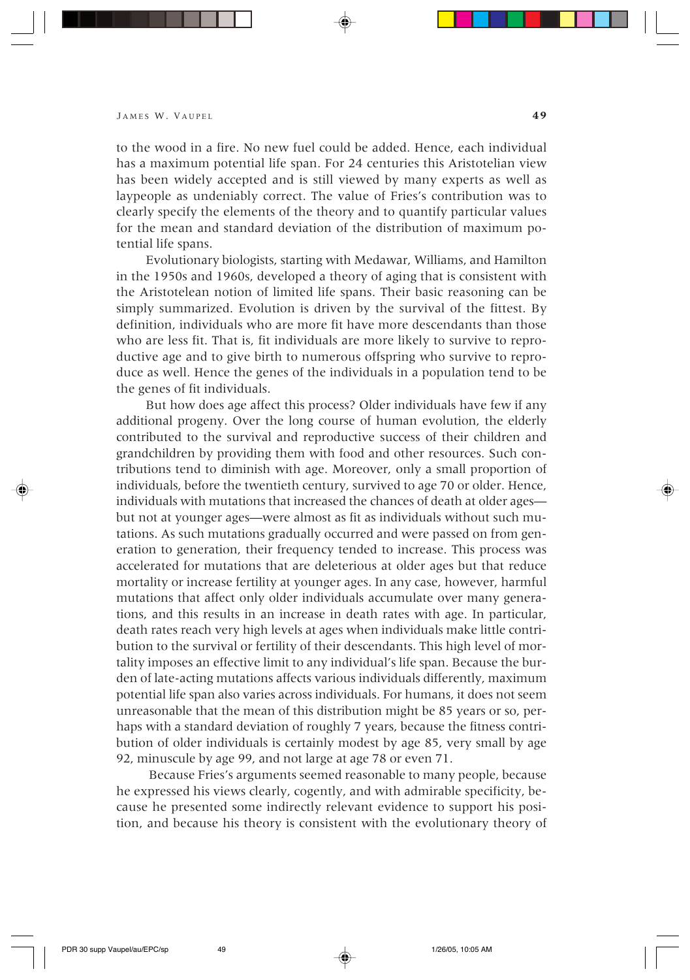to the wood in a fire. No new fuel could be added. Hence, each individual has a maximum potential life span. For 24 centuries this Aristotelian view has been widely accepted and is still viewed by many experts as well as laypeople as undeniably correct. The value of Fries's contribution was to clearly specify the elements of the theory and to quantify particular values for the mean and standard deviation of the distribution of maximum potential life spans.

Evolutionary biologists, starting with Medawar, Williams, and Hamilton in the 1950s and 1960s, developed a theory of aging that is consistent with the Aristotelean notion of limited life spans. Their basic reasoning can be simply summarized. Evolution is driven by the survival of the fittest. By definition, individuals who are more fit have more descendants than those who are less fit. That is, fit individuals are more likely to survive to reproductive age and to give birth to numerous offspring who survive to reproduce as well. Hence the genes of the individuals in a population tend to be the genes of fit individuals.

But how does age affect this process? Older individuals have few if any additional progeny. Over the long course of human evolution, the elderly contributed to the survival and reproductive success of their children and grandchildren by providing them with food and other resources. Such contributions tend to diminish with age. Moreover, only a small proportion of individuals, before the twentieth century, survived to age 70 or older. Hence, individuals with mutations that increased the chances of death at older ages but not at younger ages—were almost as fit as individuals without such mutations. As such mutations gradually occurred and were passed on from generation to generation, their frequency tended to increase. This process was accelerated for mutations that are deleterious at older ages but that reduce mortality or increase fertility at younger ages. In any case, however, harmful mutations that affect only older individuals accumulate over many generations, and this results in an increase in death rates with age. In particular, death rates reach very high levels at ages when individuals make little contribution to the survival or fertility of their descendants. This high level of mortality imposes an effective limit to any individual's life span. Because the burden of late-acting mutations affects various individuals differently, maximum potential life span also varies across individuals. For humans, it does not seem unreasonable that the mean of this distribution might be 85 years or so, perhaps with a standard deviation of roughly 7 years, because the fitness contribution of older individuals is certainly modest by age 85, very small by age 92, minuscule by age 99, and not large at age 78 or even 71.

Because Fries's arguments seemed reasonable to many people, because he expressed his views clearly, cogently, and with admirable specificity, because he presented some indirectly relevant evidence to support his position, and because his theory is consistent with the evolutionary theory of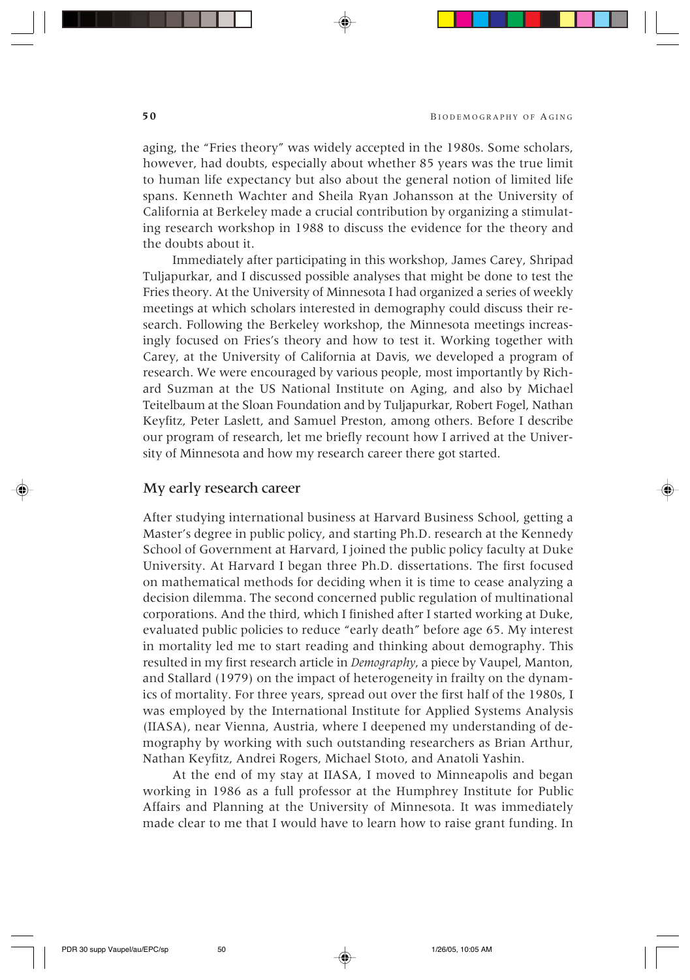aging, the "Fries theory" was widely accepted in the 1980s. Some scholars, however, had doubts, especially about whether 85 years was the true limit to human life expectancy but also about the general notion of limited life spans. Kenneth Wachter and Sheila Ryan Johansson at the University of California at Berkeley made a crucial contribution by organizing a stimulating research workshop in 1988 to discuss the evidence for the theory and the doubts about it.

Immediately after participating in this workshop, James Carey, Shripad Tuljapurkar, and I discussed possible analyses that might be done to test the Fries theory. At the University of Minnesota I had organized a series of weekly meetings at which scholars interested in demography could discuss their research. Following the Berkeley workshop, the Minnesota meetings increasingly focused on Fries's theory and how to test it. Working together with Carey, at the University of California at Davis, we developed a program of research. We were encouraged by various people, most importantly by Richard Suzman at the US National Institute on Aging, and also by Michael Teitelbaum at the Sloan Foundation and by Tuljapurkar, Robert Fogel, Nathan Keyfitz, Peter Laslett, and Samuel Preston, among others. Before I describe our program of research, let me briefly recount how I arrived at the University of Minnesota and how my research career there got started.

## My early research career

After studying international business at Harvard Business School, getting a Master's degree in public policy, and starting Ph.D. research at the Kennedy School of Government at Harvard, I joined the public policy faculty at Duke University. At Harvard I began three Ph.D. dissertations. The first focused on mathematical methods for deciding when it is time to cease analyzing a decision dilemma. The second concerned public regulation of multinational corporations. And the third, which I finished after I started working at Duke, evaluated public policies to reduce "early death" before age 65. My interest in mortality led me to start reading and thinking about demography. This resulted in my first research article in *Demography*, a piece by Vaupel, Manton, and Stallard (1979) on the impact of heterogeneity in frailty on the dynamics of mortality. For three years, spread out over the first half of the 1980s, I was employed by the International Institute for Applied Systems Analysis (IIASA), near Vienna, Austria, where I deepened my understanding of demography by working with such outstanding researchers as Brian Arthur, Nathan Keyfitz, Andrei Rogers, Michael Stoto, and Anatoli Yashin.

At the end of my stay at IIASA, I moved to Minneapolis and began working in 1986 as a full professor at the Humphrey Institute for Public Affairs and Planning at the University of Minnesota. It was immediately made clear to me that I would have to learn how to raise grant funding. In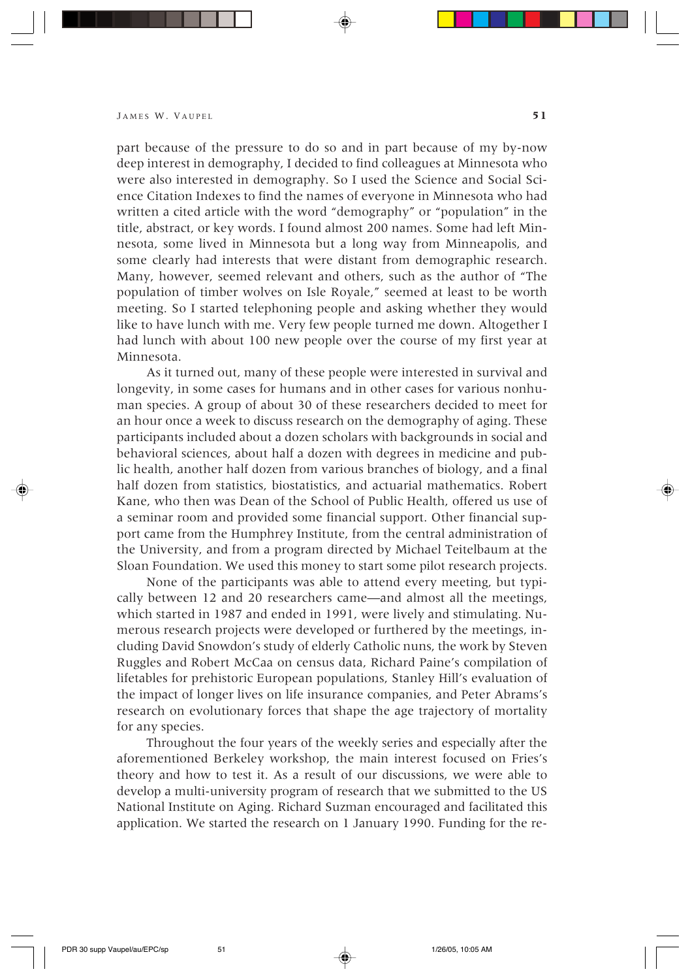part because of the pressure to do so and in part because of my by-now deep interest in demography, I decided to find colleagues at Minnesota who were also interested in demography. So I used the Science and Social Science Citation Indexes to find the names of everyone in Minnesota who had written a cited article with the word "demography" or "population" in the title, abstract, or key words. I found almost 200 names. Some had left Minnesota, some lived in Minnesota but a long way from Minneapolis, and some clearly had interests that were distant from demographic research. Many, however, seemed relevant and others, such as the author of "The population of timber wolves on Isle Royale," seemed at least to be worth meeting. So I started telephoning people and asking whether they would like to have lunch with me. Very few people turned me down. Altogether I had lunch with about 100 new people over the course of my first year at Minnesota.

As it turned out, many of these people were interested in survival and longevity, in some cases for humans and in other cases for various nonhuman species. A group of about 30 of these researchers decided to meet for an hour once a week to discuss research on the demography of aging. These participants included about a dozen scholars with backgrounds in social and behavioral sciences, about half a dozen with degrees in medicine and public health, another half dozen from various branches of biology, and a final half dozen from statistics, biostatistics, and actuarial mathematics. Robert Kane, who then was Dean of the School of Public Health, offered us use of a seminar room and provided some financial support. Other financial support came from the Humphrey Institute, from the central administration of the University, and from a program directed by Michael Teitelbaum at the Sloan Foundation. We used this money to start some pilot research projects.

None of the participants was able to attend every meeting, but typically between 12 and 20 researchers came—and almost all the meetings, which started in 1987 and ended in 1991, were lively and stimulating. Numerous research projects were developed or furthered by the meetings, including David Snowdon's study of elderly Catholic nuns, the work by Steven Ruggles and Robert McCaa on census data, Richard Paine's compilation of lifetables for prehistoric European populations, Stanley Hill's evaluation of the impact of longer lives on life insurance companies, and Peter Abrams's research on evolutionary forces that shape the age trajectory of mortality for any species.

Throughout the four years of the weekly series and especially after the aforementioned Berkeley workshop, the main interest focused on Fries's theory and how to test it. As a result of our discussions, we were able to develop a multi-university program of research that we submitted to the US National Institute on Aging. Richard Suzman encouraged and facilitated this application. We started the research on 1 January 1990. Funding for the re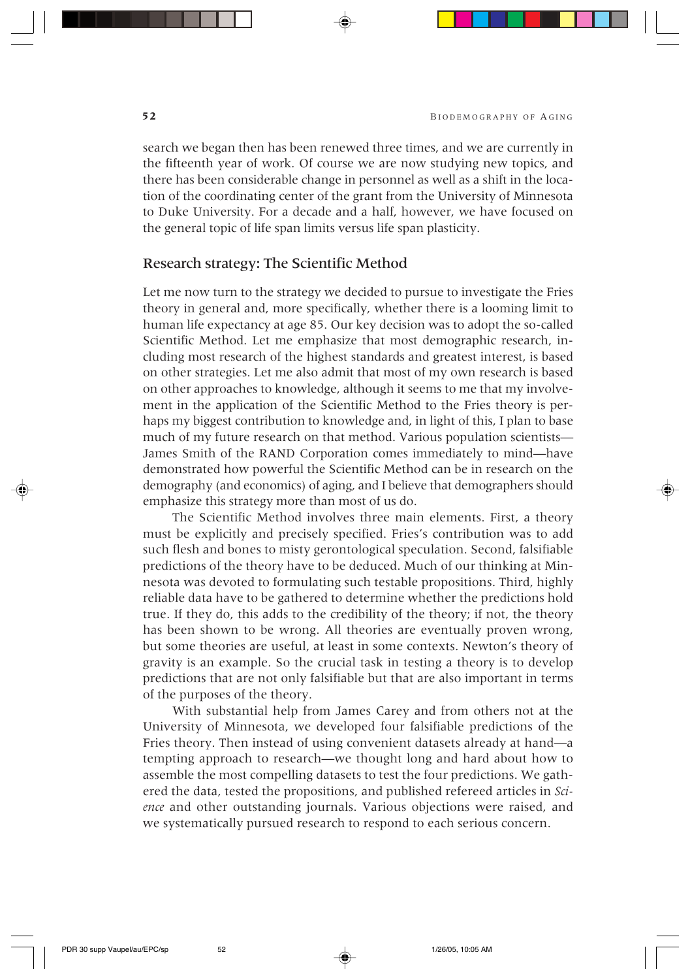search we began then has been renewed three times, and we are currently in the fifteenth year of work. Of course we are now studying new topics, and there has been considerable change in personnel as well as a shift in the location of the coordinating center of the grant from the University of Minnesota to Duke University. For a decade and a half, however, we have focused on the general topic of life span limits versus life span plasticity.

## Research strategy: The Scientific Method

Let me now turn to the strategy we decided to pursue to investigate the Fries theory in general and, more specifically, whether there is a looming limit to human life expectancy at age 85. Our key decision was to adopt the so-called Scientific Method. Let me emphasize that most demographic research, including most research of the highest standards and greatest interest, is based on other strategies. Let me also admit that most of my own research is based on other approaches to knowledge, although it seems to me that my involvement in the application of the Scientific Method to the Fries theory is perhaps my biggest contribution to knowledge and, in light of this, I plan to base much of my future research on that method. Various population scientists— James Smith of the RAND Corporation comes immediately to mind—have demonstrated how powerful the Scientific Method can be in research on the demography (and economics) of aging, and I believe that demographers should emphasize this strategy more than most of us do.

The Scientific Method involves three main elements. First, a theory must be explicitly and precisely specified. Fries's contribution was to add such flesh and bones to misty gerontological speculation. Second, falsifiable predictions of the theory have to be deduced. Much of our thinking at Minnesota was devoted to formulating such testable propositions. Third, highly reliable data have to be gathered to determine whether the predictions hold true. If they do, this adds to the credibility of the theory; if not, the theory has been shown to be wrong. All theories are eventually proven wrong, but some theories are useful, at least in some contexts. Newton's theory of gravity is an example. So the crucial task in testing a theory is to develop predictions that are not only falsifiable but that are also important in terms of the purposes of the theory.

With substantial help from James Carey and from others not at the University of Minnesota, we developed four falsifiable predictions of the Fries theory. Then instead of using convenient datasets already at hand—a tempting approach to research—we thought long and hard about how to assemble the most compelling datasets to test the four predictions. We gathered the data, tested the propositions, and published refereed articles in *Science* and other outstanding journals. Various objections were raised, and we systematically pursued research to respond to each serious concern.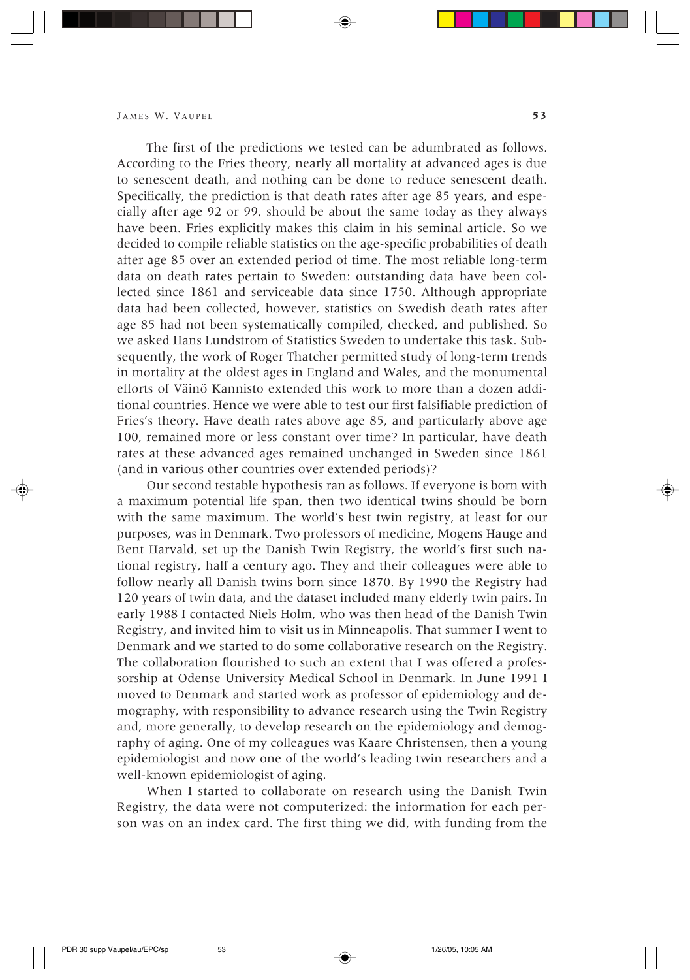The first of the predictions we tested can be adumbrated as follows. According to the Fries theory, nearly all mortality at advanced ages is due to senescent death, and nothing can be done to reduce senescent death. Specifically, the prediction is that death rates after age 85 years, and especially after age 92 or 99, should be about the same today as they always have been. Fries explicitly makes this claim in his seminal article. So we decided to compile reliable statistics on the age-specific probabilities of death after age 85 over an extended period of time. The most reliable long-term data on death rates pertain to Sweden: outstanding data have been collected since 1861 and serviceable data since 1750. Although appropriate data had been collected, however, statistics on Swedish death rates after age 85 had not been systematically compiled, checked, and published. So we asked Hans Lundstrom of Statistics Sweden to undertake this task. Subsequently, the work of Roger Thatcher permitted study of long-term trends in mortality at the oldest ages in England and Wales, and the monumental efforts of Väinö Kannisto extended this work to more than a dozen additional countries. Hence we were able to test our first falsifiable prediction of Fries's theory. Have death rates above age 85, and particularly above age 100, remained more or less constant over time? In particular, have death rates at these advanced ages remained unchanged in Sweden since 1861 (and in various other countries over extended periods)?

Our second testable hypothesis ran as follows. If everyone is born with a maximum potential life span, then two identical twins should be born with the same maximum. The world's best twin registry, at least for our purposes, was in Denmark. Two professors of medicine, Mogens Hauge and Bent Harvald, set up the Danish Twin Registry, the world's first such national registry, half a century ago. They and their colleagues were able to follow nearly all Danish twins born since 1870. By 1990 the Registry had 120 years of twin data, and the dataset included many elderly twin pairs. In early 1988 I contacted Niels Holm, who was then head of the Danish Twin Registry, and invited him to visit us in Minneapolis. That summer I went to Denmark and we started to do some collaborative research on the Registry. The collaboration flourished to such an extent that I was offered a professorship at Odense University Medical School in Denmark. In June 1991 I moved to Denmark and started work as professor of epidemiology and demography, with responsibility to advance research using the Twin Registry and, more generally, to develop research on the epidemiology and demography of aging. One of my colleagues was Kaare Christensen, then a young epidemiologist and now one of the world's leading twin researchers and a well-known epidemiologist of aging.

When I started to collaborate on research using the Danish Twin Registry, the data were not computerized: the information for each person was on an index card. The first thing we did, with funding from the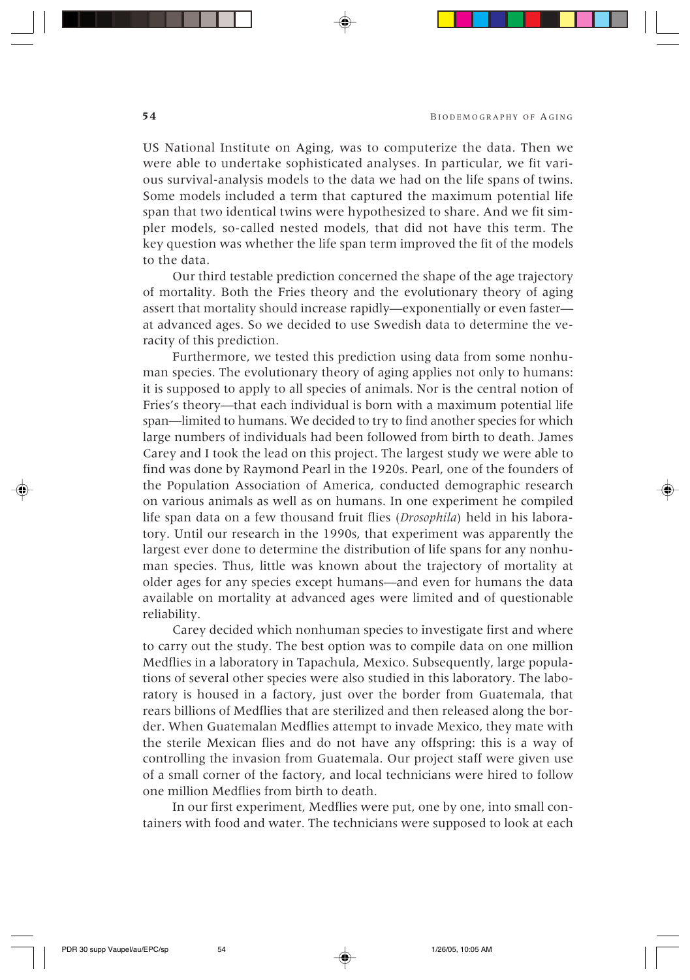US National Institute on Aging, was to computerize the data. Then we were able to undertake sophisticated analyses. In particular, we fit various survival-analysis models to the data we had on the life spans of twins. Some models included a term that captured the maximum potential life span that two identical twins were hypothesized to share. And we fit simpler models, so-called nested models, that did not have this term. The key question was whether the life span term improved the fit of the models to the data.

Our third testable prediction concerned the shape of the age trajectory of mortality. Both the Fries theory and the evolutionary theory of aging assert that mortality should increase rapidly—exponentially or even faster at advanced ages. So we decided to use Swedish data to determine the veracity of this prediction.

Furthermore, we tested this prediction using data from some nonhuman species. The evolutionary theory of aging applies not only to humans: it is supposed to apply to all species of animals. Nor is the central notion of Fries's theory—that each individual is born with a maximum potential life span—limited to humans. We decided to try to find another species for which large numbers of individuals had been followed from birth to death. James Carey and I took the lead on this project. The largest study we were able to find was done by Raymond Pearl in the 1920s. Pearl, one of the founders of the Population Association of America, conducted demographic research on various animals as well as on humans. In one experiment he compiled life span data on a few thousand fruit flies (*Drosophila*) held in his laboratory. Until our research in the 1990s, that experiment was apparently the largest ever done to determine the distribution of life spans for any nonhuman species. Thus, little was known about the trajectory of mortality at older ages for any species except humans—and even for humans the data available on mortality at advanced ages were limited and of questionable reliability.

Carey decided which nonhuman species to investigate first and where to carry out the study. The best option was to compile data on one million Medflies in a laboratory in Tapachula, Mexico. Subsequently, large populations of several other species were also studied in this laboratory. The laboratory is housed in a factory, just over the border from Guatemala, that rears billions of Medflies that are sterilized and then released along the border. When Guatemalan Medflies attempt to invade Mexico, they mate with the sterile Mexican flies and do not have any offspring: this is a way of controlling the invasion from Guatemala. Our project staff were given use of a small corner of the factory, and local technicians were hired to follow one million Medflies from birth to death.

In our first experiment, Medflies were put, one by one, into small containers with food and water. The technicians were supposed to look at each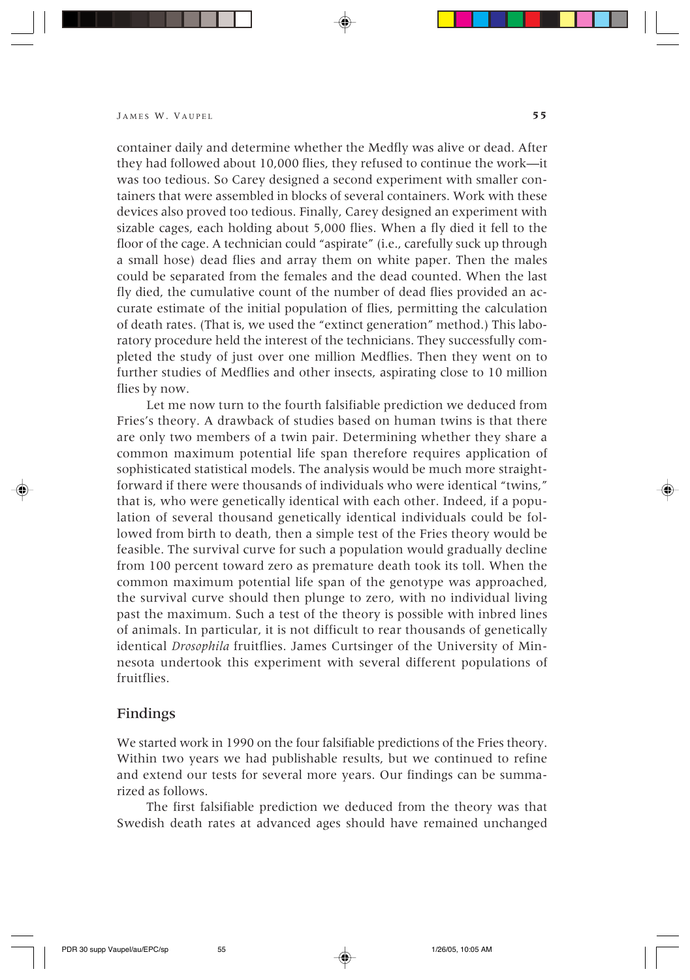container daily and determine whether the Medfly was alive or dead. After they had followed about 10,000 flies, they refused to continue the work—it was too tedious. So Carey designed a second experiment with smaller containers that were assembled in blocks of several containers. Work with these devices also proved too tedious. Finally, Carey designed an experiment with sizable cages, each holding about 5,000 flies. When a fly died it fell to the floor of the cage. A technician could "aspirate" (i.e., carefully suck up through a small hose) dead flies and array them on white paper. Then the males could be separated from the females and the dead counted. When the last fly died, the cumulative count of the number of dead flies provided an accurate estimate of the initial population of flies, permitting the calculation of death rates. (That is, we used the "extinct generation" method.) This laboratory procedure held the interest of the technicians. They successfully completed the study of just over one million Medflies. Then they went on to further studies of Medflies and other insects, aspirating close to 10 million flies by now.

Let me now turn to the fourth falsifiable prediction we deduced from Fries's theory. A drawback of studies based on human twins is that there are only two members of a twin pair. Determining whether they share a common maximum potential life span therefore requires application of sophisticated statistical models. The analysis would be much more straightforward if there were thousands of individuals who were identical "twins," that is, who were genetically identical with each other. Indeed, if a population of several thousand genetically identical individuals could be followed from birth to death, then a simple test of the Fries theory would be feasible. The survival curve for such a population would gradually decline from 100 percent toward zero as premature death took its toll. When the common maximum potential life span of the genotype was approached, the survival curve should then plunge to zero, with no individual living past the maximum. Such a test of the theory is possible with inbred lines of animals. In particular, it is not difficult to rear thousands of genetically identical *Drosophila* fruitflies. James Curtsinger of the University of Minnesota undertook this experiment with several different populations of fruitflies.

#### Findings

We started work in 1990 on the four falsifiable predictions of the Fries theory. Within two years we had publishable results, but we continued to refine and extend our tests for several more years. Our findings can be summarized as follows.

The first falsifiable prediction we deduced from the theory was that Swedish death rates at advanced ages should have remained unchanged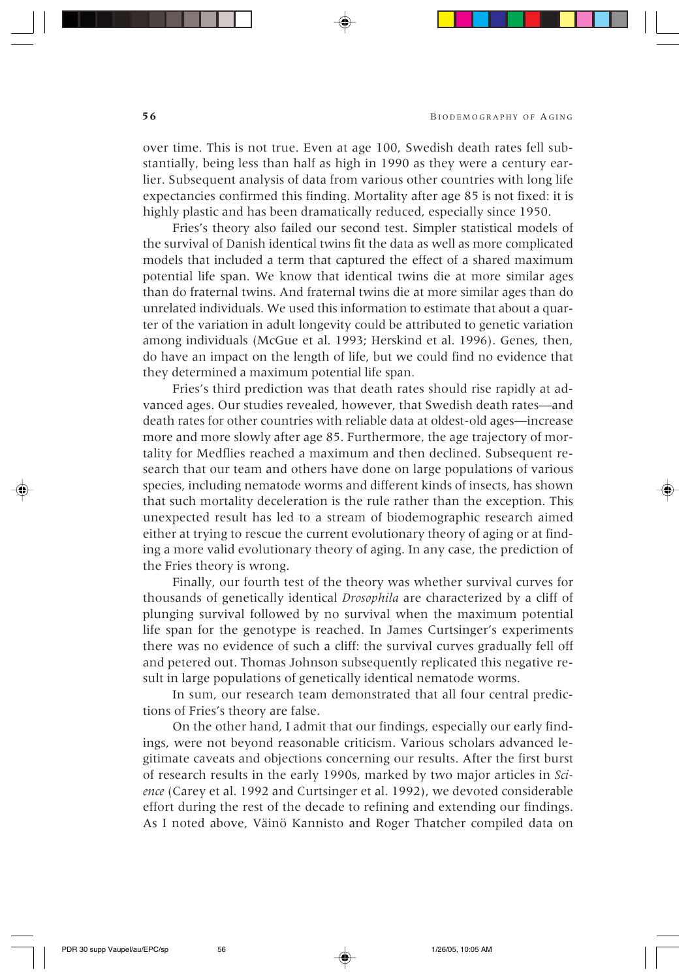over time. This is not true. Even at age 100, Swedish death rates fell substantially, being less than half as high in 1990 as they were a century earlier. Subsequent analysis of data from various other countries with long life expectancies confirmed this finding. Mortality after age 85 is not fixed: it is highly plastic and has been dramatically reduced, especially since 1950.

Fries's theory also failed our second test. Simpler statistical models of the survival of Danish identical twins fit the data as well as more complicated models that included a term that captured the effect of a shared maximum potential life span. We know that identical twins die at more similar ages than do fraternal twins. And fraternal twins die at more similar ages than do unrelated individuals. We used this information to estimate that about a quarter of the variation in adult longevity could be attributed to genetic variation among individuals (McGue et al. 1993; Herskind et al. 1996). Genes, then, do have an impact on the length of life, but we could find no evidence that they determined a maximum potential life span.

Fries's third prediction was that death rates should rise rapidly at advanced ages. Our studies revealed, however, that Swedish death rates—and death rates for other countries with reliable data at oldest-old ages—increase more and more slowly after age 85. Furthermore, the age trajectory of mortality for Medflies reached a maximum and then declined. Subsequent research that our team and others have done on large populations of various species, including nematode worms and different kinds of insects, has shown that such mortality deceleration is the rule rather than the exception. This unexpected result has led to a stream of biodemographic research aimed either at trying to rescue the current evolutionary theory of aging or at finding a more valid evolutionary theory of aging. In any case, the prediction of the Fries theory is wrong.

Finally, our fourth test of the theory was whether survival curves for thousands of genetically identical *Drosophila* are characterized by a cliff of plunging survival followed by no survival when the maximum potential life span for the genotype is reached. In James Curtsinger's experiments there was no evidence of such a cliff: the survival curves gradually fell off and petered out. Thomas Johnson subsequently replicated this negative result in large populations of genetically identical nematode worms.

In sum, our research team demonstrated that all four central predictions of Fries's theory are false.

On the other hand, I admit that our findings, especially our early findings, were not beyond reasonable criticism. Various scholars advanced legitimate caveats and objections concerning our results. After the first burst of research results in the early 1990s, marked by two major articles in *Science* (Carey et al. 1992 and Curtsinger et al. 1992), we devoted considerable effort during the rest of the decade to refining and extending our findings. As I noted above, Väinö Kannisto and Roger Thatcher compiled data on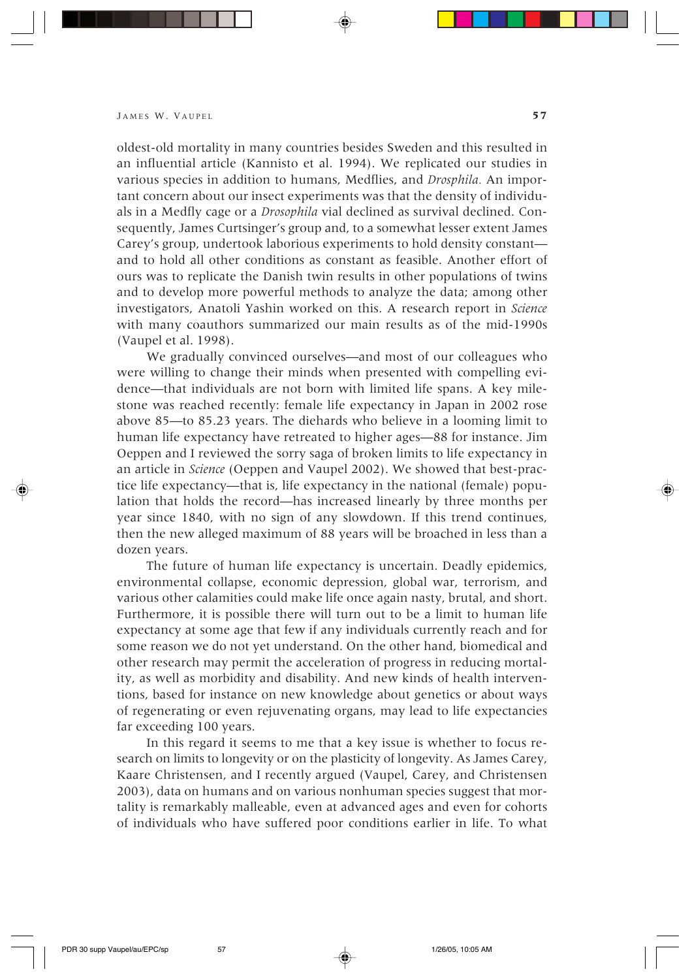oldest-old mortality in many countries besides Sweden and this resulted in an influential article (Kannisto et al. 1994). We replicated our studies in various species in addition to humans, Medflies, and *Drosphila.* An important concern about our insect experiments was that the density of individuals in a Medfly cage or a *Drosophila* vial declined as survival declined. Consequently, James Curtsinger's group and, to a somewhat lesser extent James Carey's group, undertook laborious experiments to hold density constant and to hold all other conditions as constant as feasible. Another effort of ours was to replicate the Danish twin results in other populations of twins and to develop more powerful methods to analyze the data; among other investigators, Anatoli Yashin worked on this. A research report in *Science* with many coauthors summarized our main results as of the mid-1990s (Vaupel et al. 1998).

We gradually convinced ourselves—and most of our colleagues who were willing to change their minds when presented with compelling evidence—that individuals are not born with limited life spans. A key milestone was reached recently: female life expectancy in Japan in 2002 rose above 85—to 85.23 years. The diehards who believe in a looming limit to human life expectancy have retreated to higher ages—88 for instance. Jim Oeppen and I reviewed the sorry saga of broken limits to life expectancy in an article in *Science* (Oeppen and Vaupel 2002). We showed that best-practice life expectancy—that is, life expectancy in the national (female) population that holds the record—has increased linearly by three months per year since 1840, with no sign of any slowdown. If this trend continues, then the new alleged maximum of 88 years will be broached in less than a dozen years.

The future of human life expectancy is uncertain. Deadly epidemics, environmental collapse, economic depression, global war, terrorism, and various other calamities could make life once again nasty, brutal, and short. Furthermore, it is possible there will turn out to be a limit to human life expectancy at some age that few if any individuals currently reach and for some reason we do not yet understand. On the other hand, biomedical and other research may permit the acceleration of progress in reducing mortality, as well as morbidity and disability. And new kinds of health interventions, based for instance on new knowledge about genetics or about ways of regenerating or even rejuvenating organs, may lead to life expectancies far exceeding 100 years.

In this regard it seems to me that a key issue is whether to focus research on limits to longevity or on the plasticity of longevity. As James Carey, Kaare Christensen, and I recently argued (Vaupel, Carey, and Christensen 2003), data on humans and on various nonhuman species suggest that mortality is remarkably malleable, even at advanced ages and even for cohorts of individuals who have suffered poor conditions earlier in life. To what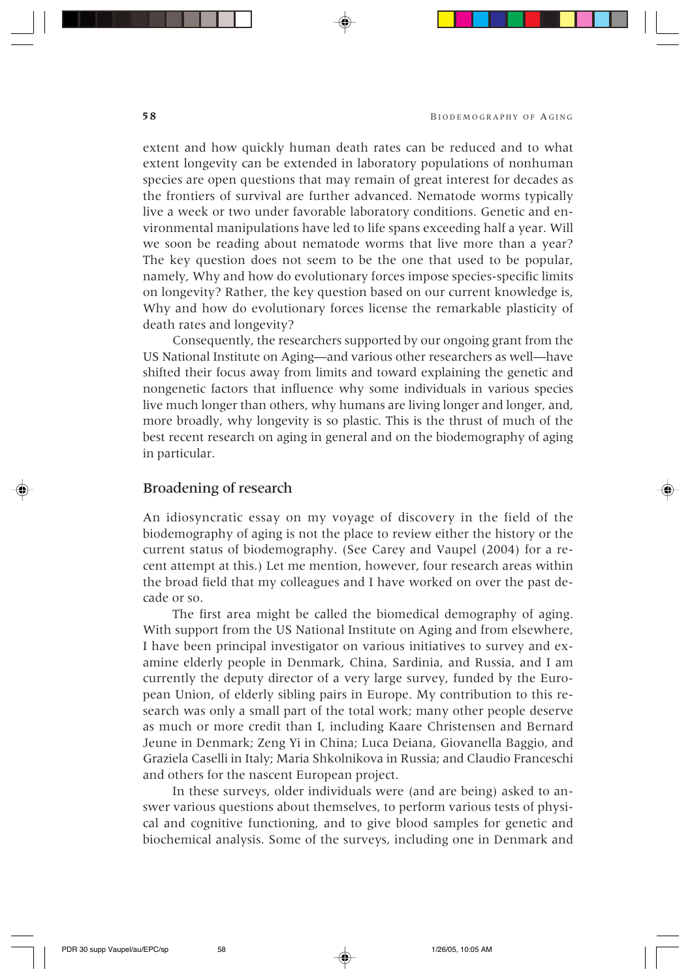extent and how quickly human death rates can be reduced and to what extent longevity can be extended in laboratory populations of nonhuman species are open questions that may remain of great interest for decades as the frontiers of survival are further advanced. Nematode worms typically live a week or two under favorable laboratory conditions. Genetic and environmental manipulations have led to life spans exceeding half a year. Will we soon be reading about nematode worms that live more than a year? The key question does not seem to be the one that used to be popular, namely, Why and how do evolutionary forces impose species-specific limits on longevity? Rather, the key question based on our current knowledge is, Why and how do evolutionary forces license the remarkable plasticity of death rates and longevity?

Consequently, the researchers supported by our ongoing grant from the US National Institute on Aging—and various other researchers as well—have shifted their focus away from limits and toward explaining the genetic and nongenetic factors that influence why some individuals in various species live much longer than others, why humans are living longer and longer, and, more broadly, why longevity is so plastic. This is the thrust of much of the best recent research on aging in general and on the biodemography of aging in particular.

#### Broadening of research

An idiosyncratic essay on my voyage of discovery in the field of the biodemography of aging is not the place to review either the history or the current status of biodemography. (See Carey and Vaupel (2004) for a recent attempt at this.) Let me mention, however, four research areas within the broad field that my colleagues and I have worked on over the past decade or so.

The first area might be called the biomedical demography of aging. With support from the US National Institute on Aging and from elsewhere, I have been principal investigator on various initiatives to survey and examine elderly people in Denmark, China, Sardinia, and Russia, and I am currently the deputy director of a very large survey, funded by the European Union, of elderly sibling pairs in Europe. My contribution to this research was only a small part of the total work; many other people deserve as much or more credit than I, including Kaare Christensen and Bernard Jeune in Denmark; Zeng Yi in China; Luca Deiana, Giovanella Baggio, and Graziela Caselli in Italy; Maria Shkolnikova in Russia; and Claudio Franceschi and others for the nascent European project.

In these surveys, older individuals were (and are being) asked to answer various questions about themselves, to perform various tests of physical and cognitive functioning, and to give blood samples for genetic and biochemical analysis. Some of the surveys, including one in Denmark and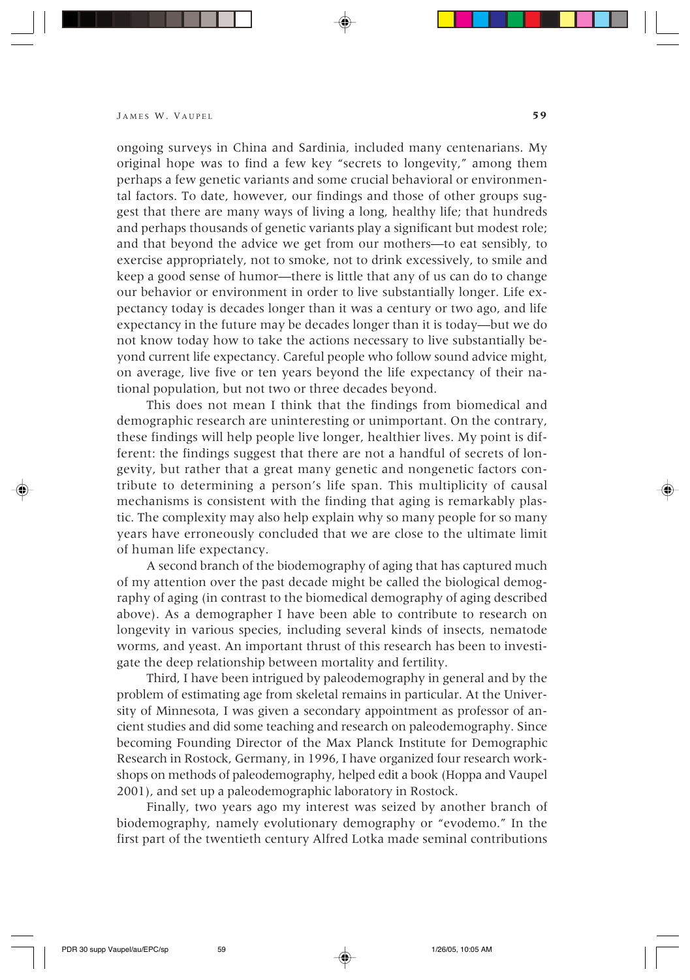ongoing surveys in China and Sardinia, included many centenarians. My original hope was to find a few key "secrets to longevity," among them perhaps a few genetic variants and some crucial behavioral or environmental factors. To date, however, our findings and those of other groups suggest that there are many ways of living a long, healthy life; that hundreds and perhaps thousands of genetic variants play a significant but modest role; and that beyond the advice we get from our mothers—to eat sensibly, to exercise appropriately, not to smoke, not to drink excessively, to smile and keep a good sense of humor—there is little that any of us can do to change our behavior or environment in order to live substantially longer. Life expectancy today is decades longer than it was a century or two ago, and life expectancy in the future may be decades longer than it is today—but we do not know today how to take the actions necessary to live substantially beyond current life expectancy. Careful people who follow sound advice might, on average, live five or ten years beyond the life expectancy of their national population, but not two or three decades beyond.

This does not mean I think that the findings from biomedical and demographic research are uninteresting or unimportant. On the contrary, these findings will help people live longer, healthier lives. My point is different: the findings suggest that there are not a handful of secrets of longevity, but rather that a great many genetic and nongenetic factors contribute to determining a person's life span. This multiplicity of causal mechanisms is consistent with the finding that aging is remarkably plastic. The complexity may also help explain why so many people for so many years have erroneously concluded that we are close to the ultimate limit of human life expectancy.

A second branch of the biodemography of aging that has captured much of my attention over the past decade might be called the biological demography of aging (in contrast to the biomedical demography of aging described above). As a demographer I have been able to contribute to research on longevity in various species, including several kinds of insects, nematode worms, and yeast. An important thrust of this research has been to investigate the deep relationship between mortality and fertility.

Third, I have been intrigued by paleodemography in general and by the problem of estimating age from skeletal remains in particular. At the University of Minnesota, I was given a secondary appointment as professor of ancient studies and did some teaching and research on paleodemography. Since becoming Founding Director of the Max Planck Institute for Demographic Research in Rostock, Germany, in 1996, I have organized four research workshops on methods of paleodemography, helped edit a book (Hoppa and Vaupel 2001), and set up a paleodemographic laboratory in Rostock.

Finally, two years ago my interest was seized by another branch of biodemography, namely evolutionary demography or "evodemo." In the first part of the twentieth century Alfred Lotka made seminal contributions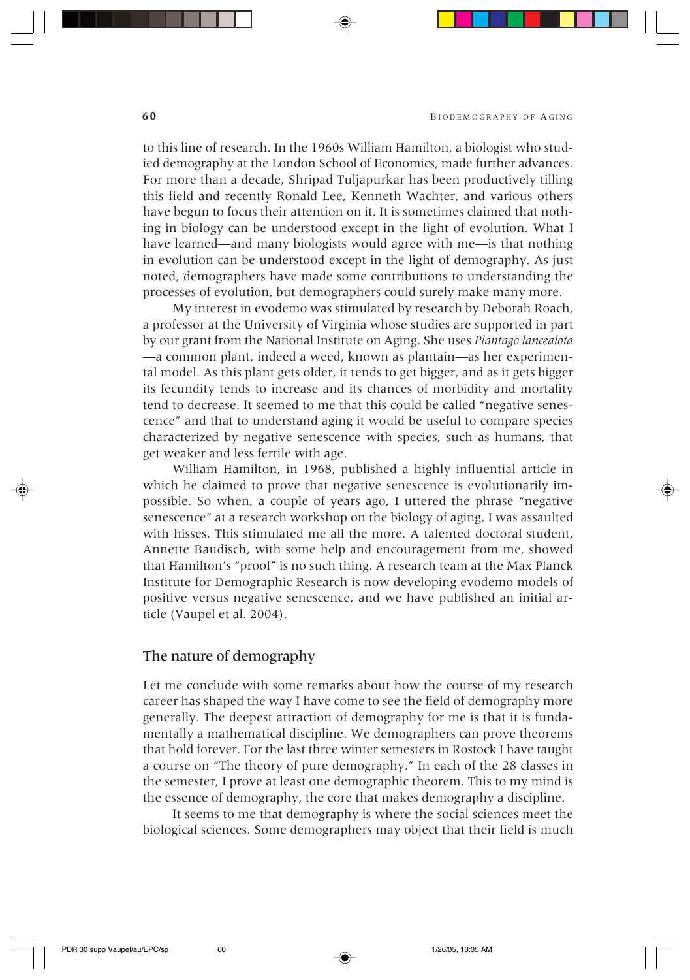to this line of research. In the 1960s William Hamilton, a biologist who studied demography at the London School of Economics, made further advances. For more than a decade, Shripad Tuljapurkar has been productively tilling this field and recently Ronald Lee, Kenneth Wachter, and various others have begun to focus their attention on it. It is sometimes claimed that nothing in biology can be understood except in the light of evolution. What I have learned—and many biologists would agree with me—is that nothing in evolution can be understood except in the light of demography. As just noted, demographers have made some contributions to understanding the processes of evolution, but demographers could surely make many more.

My interest in evodemo was stimulated by research by Deborah Roach, a professor at the University of Virginia whose studies are supported in part by our grant from the National Institute on Aging. She uses *Plantago lancealota* —a common plant, indeed a weed, known as plantain—as her experimental model. As this plant gets older, it tends to get bigger, and as it gets bigger its fecundity tends to increase and its chances of morbidity and mortality tend to decrease. It seemed to me that this could be called "negative senescence" and that to understand aging it would be useful to compare species characterized by negative senescence with species, such as humans, that get weaker and less fertile with age.

William Hamilton, in 1968, published a highly influential article in which he claimed to prove that negative senescence is evolutionarily impossible. So when, a couple of years ago, I uttered the phrase "negative senescence" at a research workshop on the biology of aging, I was assaulted with hisses. This stimulated me all the more. A talented doctoral student, Annette Baudisch, with some help and encouragement from me, showed that Hamilton's "proof" is no such thing. A research team at the Max Planck Institute for Demographic Research is now developing evodemo models of positive versus negative senescence, and we have published an initial article (Vaupel et al. 2004).

#### The nature of demography

Let me conclude with some remarks about how the course of my research career has shaped the way I have come to see the field of demography more generally. The deepest attraction of demography for me is that it is fundamentally a mathematical discipline. We demographers can prove theorems that hold forever. For the last three winter semesters in Rostock I have taught a course on "The theory of pure demography." In each of the 28 classes in the semester, I prove at least one demographic theorem. This to my mind is the essence of demography, the core that makes demography a discipline.

It seems to me that demography is where the social sciences meet the biological sciences. Some demographers may object that their field is much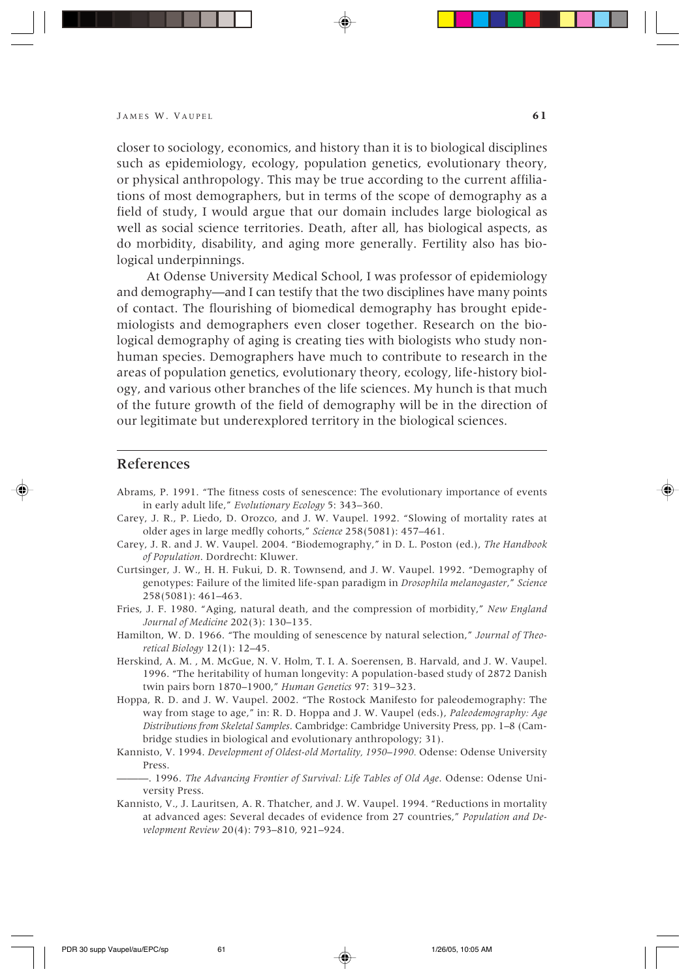closer to sociology, economics, and history than it is to biological disciplines such as epidemiology, ecology, population genetics, evolutionary theory, or physical anthropology. This may be true according to the current affiliations of most demographers, but in terms of the scope of demography as a field of study, I would argue that our domain includes large biological as well as social science territories. Death, after all, has biological aspects, as do morbidity, disability, and aging more generally. Fertility also has biological underpinnings.

At Odense University Medical School, I was professor of epidemiology and demography—and I can testify that the two disciplines have many points of contact. The flourishing of biomedical demography has brought epidemiologists and demographers even closer together. Research on the biological demography of aging is creating ties with biologists who study nonhuman species. Demographers have much to contribute to research in the areas of population genetics, evolutionary theory, ecology, life-history biology, and various other branches of the life sciences. My hunch is that much of the future growth of the field of demography will be in the direction of our legitimate but underexplored territory in the biological sciences.

### References

- Abrams, P. 1991. "The fitness costs of senescence: The evolutionary importance of events in early adult life," *Evolutionary Ecology* 5: 343–360.
- Carey, J. R., P. Liedo, D. Orozco, and J. W. Vaupel. 1992. "Slowing of mortality rates at older ages in large medfly cohorts," *Science* 258(5081): 457–461.
- Carey, J. R. and J. W. Vaupel. 2004. "Biodemography," in D. L. Poston (ed.), *The Handbook of Population*. Dordrecht: Kluwer.
- Curtsinger, J. W., H. H. Fukui, D. R. Townsend, and J. W. Vaupel. 1992. "Demography of genotypes: Failure of the limited life-span paradigm in *Drosophila melanogaster*," *Science* 258(5081): 461–463.
- Fries, J. F. 1980. "Aging, natural death, and the compression of morbidity," *New England Journal of Medicine* 202(3): 130–135.
- Hamilton, W. D. 1966. "The moulding of senescence by natural selection," *Journal of Theoretical Biology* 12(1): 12–45.
- Herskind, A. M. , M. McGue, N. V. Holm, T. I. A. Soerensen, B. Harvald, and J. W. Vaupel. 1996. "The heritability of human longevity: A population-based study of 2872 Danish twin pairs born 1870–1900," *Human Genetics* 97: 319–323.
- Hoppa, R. D. and J. W. Vaupel. 2002. "The Rostock Manifesto for paleodemography: The way from stage to age," in: R. D. Hoppa and J. W. Vaupel (eds.), *Paleodemography: Age Distributions from Skeletal Samples*. Cambridge: Cambridge University Press, pp. 1–8 (Cambridge studies in biological and evolutionary anthropology; 31).
- Kannisto, V. 1994. *Development of Oldest-old Mortality, 1950–1990.* Odense: Odense University Press.
- ———. 1996. *The Advancing Frontier of Survival: Life Tables of Old Age*. Odense: Odense University Press.
- Kannisto, V., J. Lauritsen, A. R. Thatcher, and J. W. Vaupel. 1994. "Reductions in mortality at advanced ages: Several decades of evidence from 27 countries," *Population and Development Review* 20(4): 793–810, 921–924.